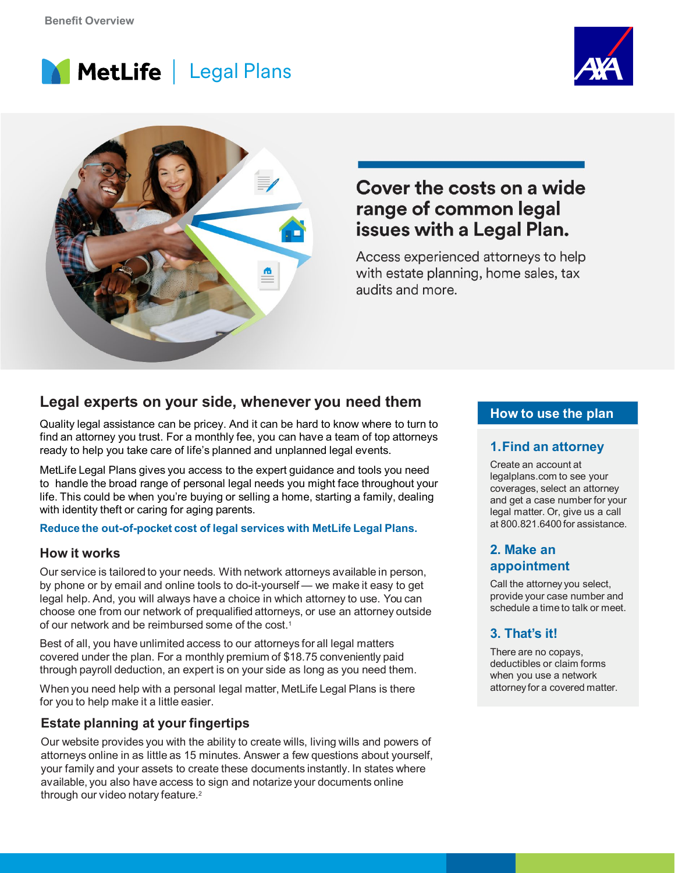





# Cover the costs on a wide range of common legal issues with a Legal Plan.

Access experienced attorneys to help with estate planning, home sales, tax audits and more.

# **Legal experts on your side, whenever you need them**

Quality legal assistance can be pricey. And it can be hard to know where to turn to find an attorney you trust. For a monthly fee, you can have a team of top attorneys ready to help you take care of life's planned and unplanned legal events.

MetLife Legal Plans gives you access to the expert guidance and tools you need to handle the broad range of personal legal needs you might face throughout your life. This could be when you're buying or selling a home, starting a family, dealing with identity theft or caring for aging parents.

#### **Reduce the out-of-pocket cost of legal services with MetLife Legal Plans.**

#### **How it works**

Our service is tailored to your needs. With network attorneys available in person, by phone or by email and online tools to do-it-yourself — we make it easy to get legal help. And, you will always have a choice in which attorney to use. You can choose one from our network of prequalified attorneys, or use an attorney outside of our network and be reimbursed some of the cost.1

Best of all, you have unlimited access to our attorneys for all legal matters covered under the plan. For a monthly premium of \$18.75 conveniently paid through payroll deduction, an expert is on your side as long as you need them.

When you need help with a personal legal matter, MetLife Legal Plans is there for you to help make it a little easier.

### **Estate planning at your fingertips**

Our website provides you with the ability to create wills, living wills and powers of attorneys online in as little as 15 minutes. Answer a few questions about yourself, your family and your assets to create these documents instantly. In states where available, you also have access to sign and notarize your documents online through our video notary feature.<sup>2</sup>

### **How to use the plan**

#### **1.Find an attorney**

Create an account at legalplans.com to see your coverages, select an attorney and get a case number for your legal matter. Or, give us a call at 800.821.6400 for assistance.

#### **2. Make an appointment**

Call the attorney you select, provide your case number and schedule a time to talk or meet.

## **3. That's it!**

There are no copays, deductibles or claim forms when you use a network attorneyfor a covered matter.